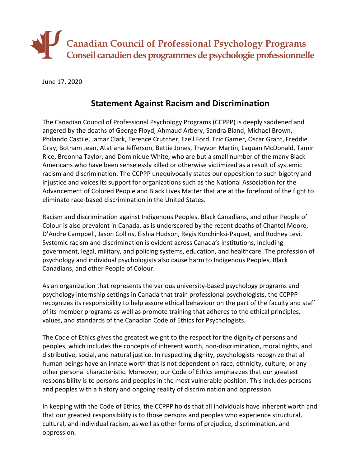

June 17, 2020

## **Statement Against Racism and Discrimination**

The Canadian Council of Professional Psychology Programs (CCPPP) is deeply saddened and angered by the deaths of George Floyd, Ahmaud Arbery, Sandra Bland, Michael Brown, Philando Castile, Jamar Clark, Terence Crutcher, Ezell Ford, Eric Garner, Oscar Grant, Freddie Gray, Botham Jean, Atatiana Jefferson, Bettie Jones, Trayvon Martin, Laquan McDonald, Tamir Rice, Breonna Taylor, and Dominique White, who are but a small number of the many Black Americans who have been senselessly killed or otherwise victimized as a result of systemic racism and discrimination. The CCPPP unequivocally states our opposition to such bigotry and injustice and voices its support for organizations such as the National Association for the Advancement of Colored People and Black Lives Matter that are at the forefront of the fight to eliminate race-based discrimination in the United States.

Racism and discrimination against Indigenous Peoples, Black Canadians, and other People of Colour is also prevalent in Canada, as is underscored by the recent deaths of Chantel Moore, D'Andre Campbell, Jason Collins, Eishia Hudson, Regis Korchinksi-Paquet, and Rodney Levi. Systemic racism and discrimination is evident across Canada's institutions, including government, legal, military, and policing systems, education, and healthcare. The profession of psychology and individual psychologists also cause harm to Indigenous Peoples, Black Canadians, and other People of Colour.

As an organization that represents the various university-based psychology programs and psychology internship settings in Canada that train professional psychologists, the CCPPP recognizes its responsibility to help assure ethical behaviour on the part of the faculty and staff of its member programs as well as promote training that adheres to the ethical principles, values, and standards of the Canadian Code of Ethics for Psychologists.

The Code of Ethics gives the greatest weight to the respect for the dignity of persons and peoples, which includes the concepts of inherent worth, non-discrimination, moral rights, and distributive, social, and natural justice. In respecting dignity, psychologists recognize that all human beings have an innate worth that is not dependent on race, ethnicity, culture, or any other personal characteristic. Moreover, our Code of Ethics emphasizes that our greatest responsibility is to persons and peoples in the most vulnerable position. This includes persons and peoples with a history and ongoing reality of discrimination and oppression.

In keeping with the Code of Ethics, the CCPPP holds that all individuals have inherent worth and that our greatest responsibility is to those persons and peoples who experience structural, cultural, and individual racism, as well as other forms of prejudice, discrimination, and oppression.